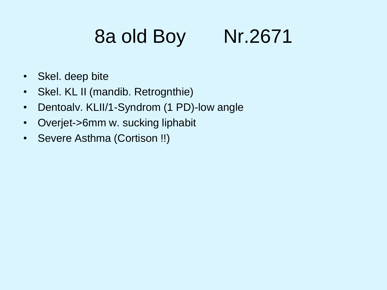# 8a old Boy Nr.2671

- Skel. deep bite
- Skel. KL II (mandib. Retrognthie)
- Dentoalv. KLII/1-Syndrom (1 PD)-low angle
- Overjet->6mm w. sucking liphabit
- Severe Asthma (Cortison !!)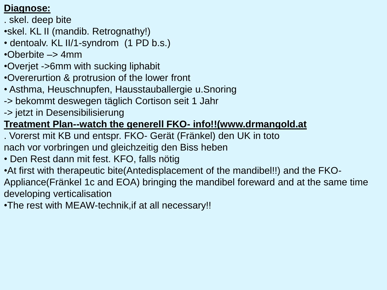#### **Diagnose:**

- . skel. deep bite
- •skel. KL II (mandib. Retrognathy!)
- dentoalv. KL II/1-syndrom (1 PD b.s.)
- $\cdot$ Oberbite  $\rightarrow$  4mm
- •Overjet ->6mm with sucking liphabit
- •Overerurtion & protrusion of the lower front
- Asthma, Heuschnupfen, Hausstauballergie u.Snoring
- -> bekommt deswegen täglich Cortison seit 1 Jahr
- -> jetzt in Desensibilisierung

### **Treatment Plan--watch the generell FKO- info!!(www.drmangold.at**

- . Vorerst mit KB und entspr. FKO- Gerät (Fränkel) den UK in toto nach vor vorbringen und gleichzeitig den Biss heben
- Den Rest dann mit fest. KFO, falls nötig
- •At first with therapeutic bite(Antedisplacement of the mandibel!!) and the FKO-Appliance(Fränkel 1c and EOA) bringing the mandibel foreward and at the same time developing verticalisation
- •The rest with MEAW-technik,if at all necessary!!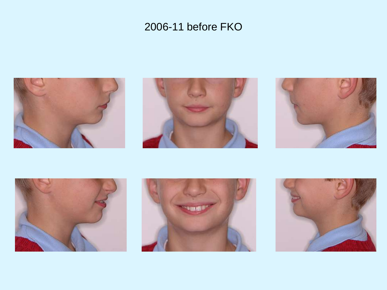









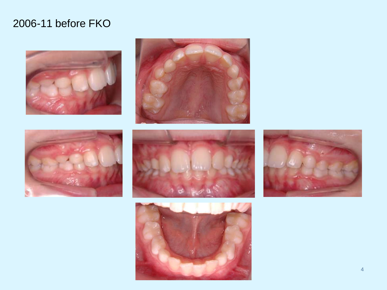









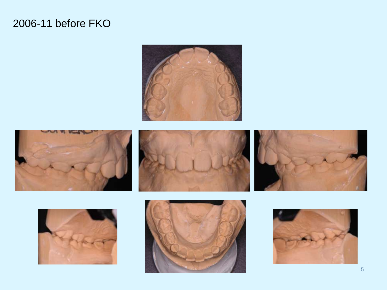











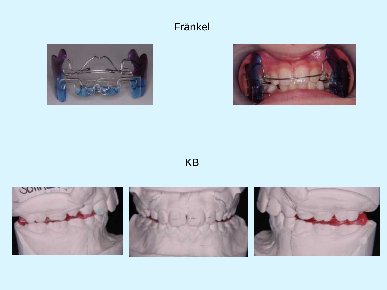#### Fränkel





KB





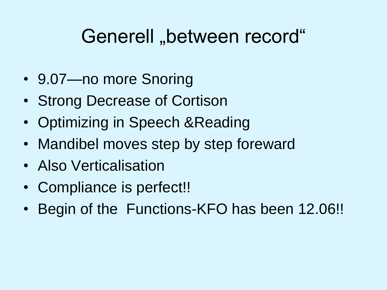# Generell "between record"

- 9.07—no more Snoring
- Strong Decrease of Cortison
- Optimizing in Speech & Reading
- Mandibel moves step by step foreward
- Also Verticalisation
- Compliance is perfect!!
- Begin of the Functions-KFO has been 12.06!!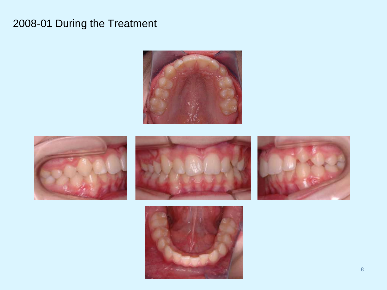### 2008-01 During the Treatment









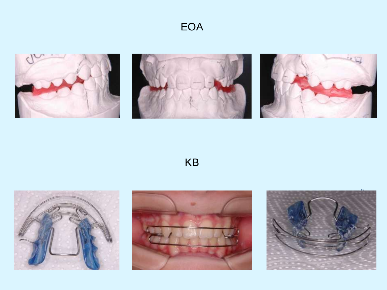







 $KB$ 





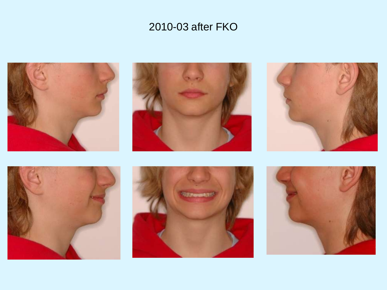









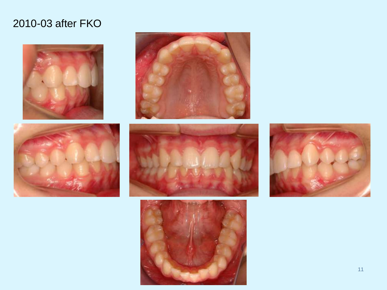









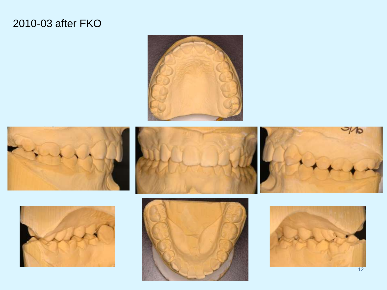











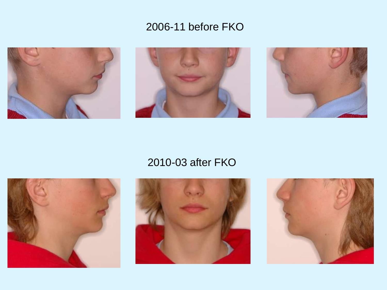









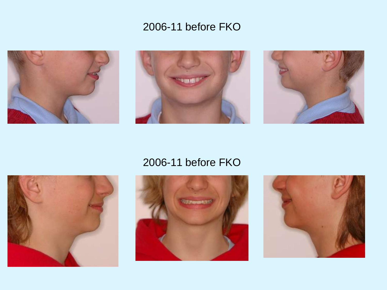









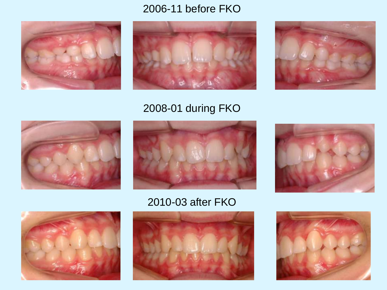





### 2008-01 during FKO











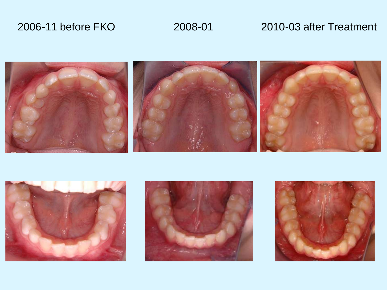#### 2006-11 before FKO 2008-01 2010-03 after Treatment







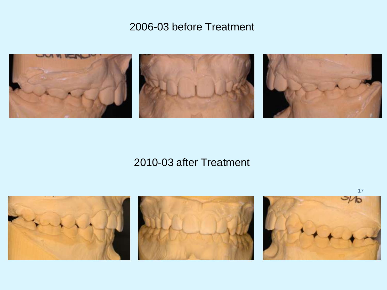#### 2006-03 before Treatment



#### 2010-03 after Treatment

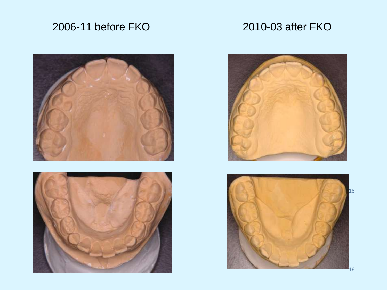### 2006-11 before FKO 2010-03 after FKO







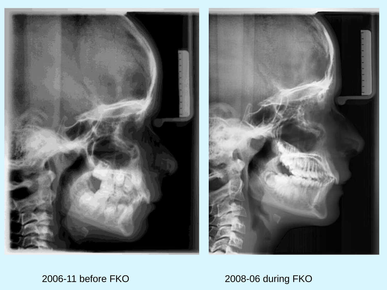



2006-11 before FKO 2008-06 during FKO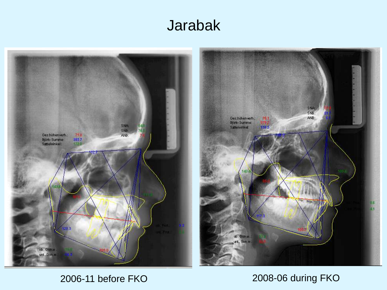## Jarabak





#### 2006-11 before FKO 2008-06 during FKO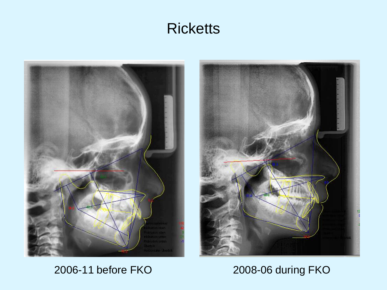## **Ricketts**





2006-11 before FKO 2008-06 during FKO